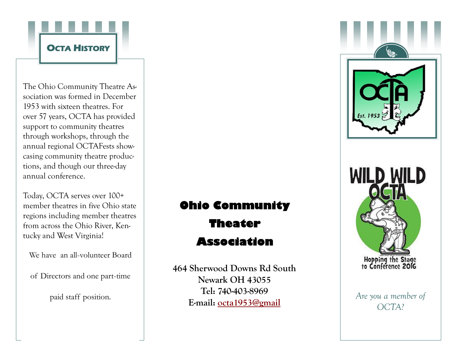

The Ohio Community Theatre Association was formed in December 1953 with sixteen theatres. For over 57 years, OCTA has provided support to community theatres through workshops, through the annual regional OCTAFests showcasing community theatre productions, and though our three-day annual conference.

Today, OCTA serves over 100+ member theatres in five Ohio state regions including member theatres from across the Ohio River, Kentucky and West Virginia!

We have an all-volunteer Board

of Directors and one part-time

# **Ohio Community**

**Theater** 

## **Association**

paid staff position. **Are you a member of Are you a member of Are you a member of** 464 Sherwood Downs Rd South Newark OH 43055 Tel: 740-403-8969 E-mail: octa1953@gmail